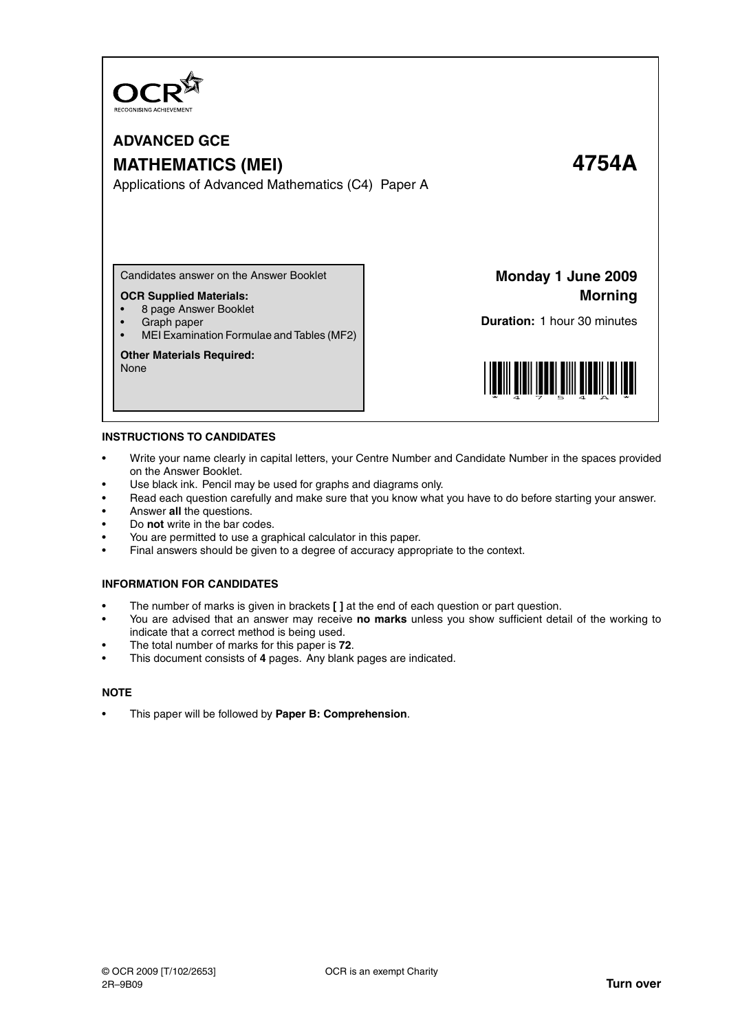

# **ADVANCED GCE MATHEMATICS (MEI) 4754A**

Applications of Advanced Mathematics (C4) Paper A

Candidates answer on the Answer Booklet

#### **OCR Supplied Materials:**

- 8 page Answer Booklet
- Graph paper
- MEI Examination Formulae and Tables (MF2)

#### **Other Materials Required:**

None

**Monday 1 June 2009 Morning**

**Duration:** 1 hour 30 minutes



#### **INSTRUCTIONS TO CANDIDATES**

- Write your name clearly in capital letters, your Centre Number and Candidate Number in the spaces provided on the Answer Booklet.
- Use black ink. Pencil may be used for graphs and diagrams only.
- Read each question carefully and make sure that you know what you have to do before starting your answer.
- Answer **all** the questions.
- Do **not** write in the bar codes.
- You are permitted to use a graphical calculator in this paper.
- Final answers should be given to a degree of accuracy appropriate to the context.

#### **INFORMATION FOR CANDIDATES**

- The number of marks is given in brackets **[ ]** at the end of each question or part question.
- You are advised that an answer may receive **no marks** unless you show sufficient detail of the working to indicate that a correct method is being used.
- The total number of marks for this paper is **72**.
- This document consists of **4** pages. Any blank pages are indicated.

### **NOTE**

• This paper will be followed by **Paper B: Comprehension**.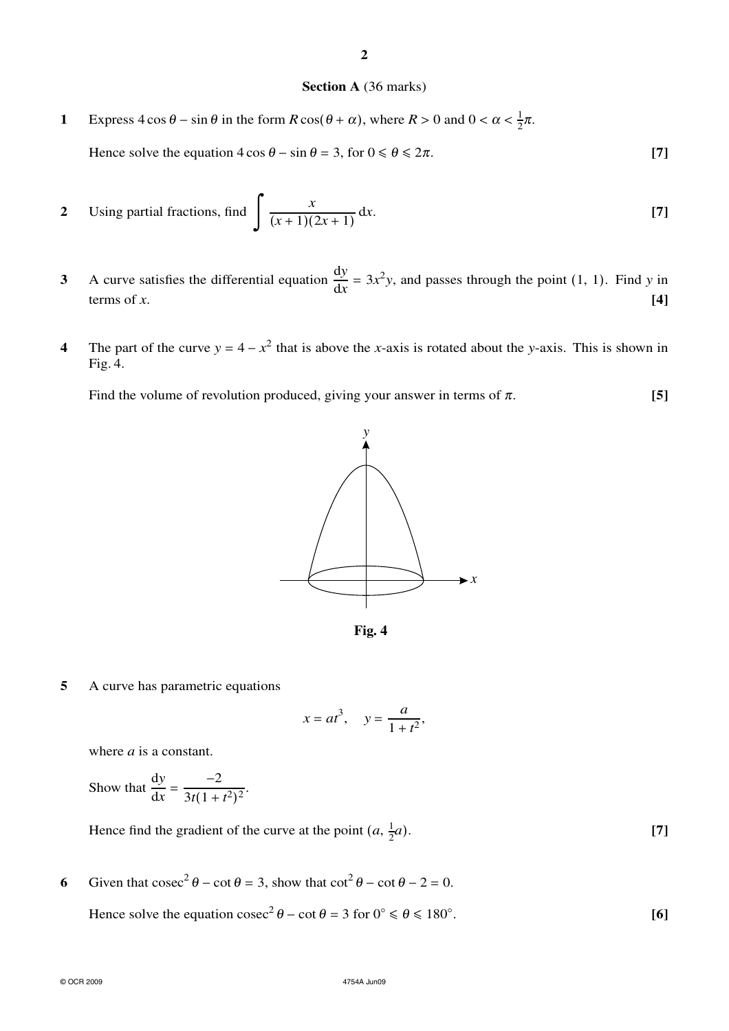## **Section A** (36 marks)

**1** Express  $4 \cos \theta - \sin \theta$  in the form  $R \cos(\theta + \alpha)$ , where  $R > 0$  and  $0 < \alpha < \frac{1}{2}$  $rac{1}{2}\pi$ .

Hence solve the equation  $4 \cos \theta - \sin \theta = 3$ , for  $0 \le \theta \le 2\pi$ . **[7]** 

2 Using partial fractions, find 
$$
\int \frac{x}{(x+1)(2x+1)} dx.
$$
 [7]

- **3** A curve satisfies the differential equation  $\frac{dy}{dx} = 3x^2y$ , and passes through the point (1, 1). Find *y* in terms of  $x$ .  $[4]$
- **4** The part of the curve  $y = 4 x^2$  that is above the *x*-axis is rotated about the *y*-axis. This is shown in Fig. 4.

Find the volume of revolution produced, giving your answer in terms of  $\pi$ . **[5]** 





**5** A curve has parametric equations

$$
x = at^3, \quad y = \frac{a}{1 + t^2},
$$

where *a* is a constant.

Show that 
$$
\frac{dy}{dx} = \frac{-2}{3t(1+t^2)^2}.
$$

Hence find the gradient of the curve at the point  $(a, \frac{1}{2})$ 2 *a*). **[7]**

6 Given that  $\csc^2 \theta - \cot \theta = 3$ , show that  $\cot^2 \theta - \cot \theta - 2 = 0$ . Hence solve the equation  $\csc^2 \theta - \cot \theta = 3$  for  $0^\circ \le \theta \le 180^\circ$ . **[6]**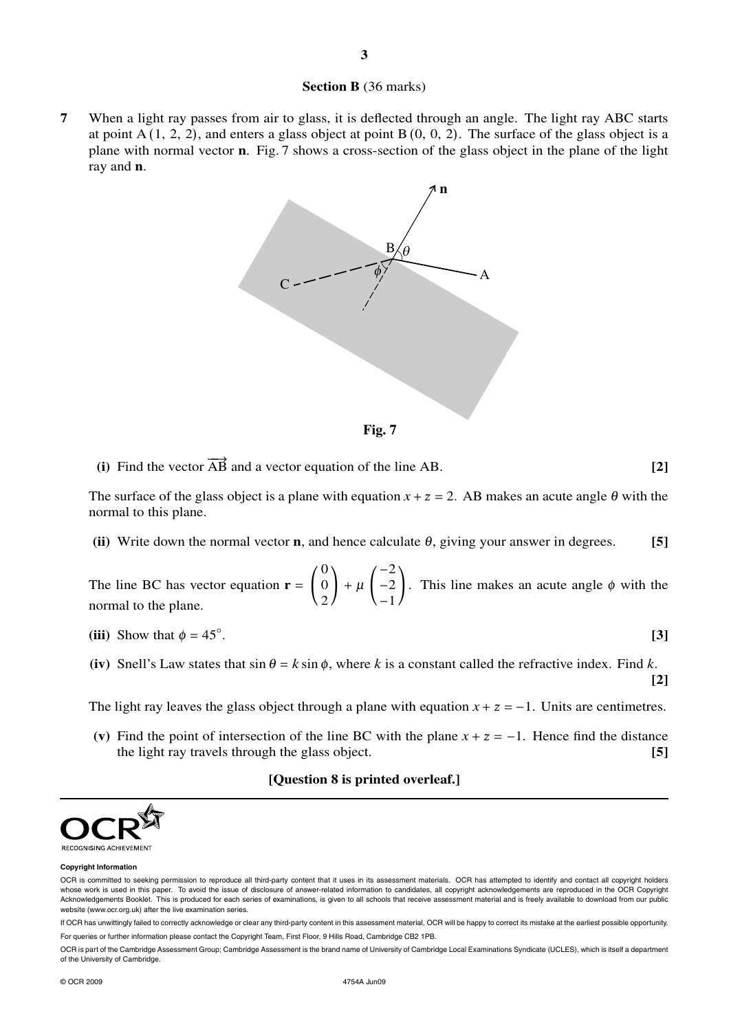### **Section B** (36 marks)

**7** When a light ray passes from air to glass, it is deflected through an angle. The light ray ABC starts at point A  $(1, 2, 2)$ , and enters a glass object at point B  $(0, 0, 2)$ . The surface of the glass object is a plane with normal vector **n**. Fig. 7 shows a cross-section of the glass object in the plane of the light ray and **n**.



**Fig. 7**

(i) Find the vector  $\overrightarrow{AB}$  and a vector equation of the line AB.  $[2]$ 

The surface of the glass object is a plane with equation  $x + z = 2$ . AB makes an acute angle  $\theta$  with the normal to this plane.

**(ii)** Write down the normal vector **n**, and hence calculate <sup>θ</sup>, giving your answer in degrees. **[5]**

The line BC has vector equation  $\mathbf{r} = \begin{bmatrix} 1 \\ 1 \end{bmatrix}$ 0 0 2  $+ \mu$  $-2$  $-2$ −1 . This line makes an acute angle  $\phi$  with the normal to the plane.

(iii) Show that 
$$
\phi = 45^{\circ}
$$
.

(iv) Snell's Law states that  $\sin \theta = k \sin \phi$ , where *k* is a constant called the refractive index. Find *k*. **[2]**

The light ray leaves the glass object through a plane with equation  $x + z = -1$ . Units are centimetres.

(v) Find the point of intersection of the line BC with the plane  $x + z = -1$ . Hence find the distance the light ray travels through the glass object. **[5]**

#### **[Question 8 is printed overleaf.]**



#### **Copyright Information**

If OCR has unwittingly failed to correctly acknowledge or clear any third-party content in this assessment material, OCR will be happy to correct its mistake at the earliest possible opportunity. For queries or further information please contact the Copyright Team, First Floor, 9 Hills Road, Cambridge CB2 1PB.

OCR is part of the Cambridge Assessment Group; Cambridge Assessment is the brand name of University of Cambridge Local Examinations Syndicate (UCLES), which is itself a department of the University of Cambridge.

OCR is committed to seeking permission to reproduce all third-party content that it uses in its assessment materials. OCR has attempted to identify and contact all copyright holders whose work is used in this paper. To avoid the issue of disclosure of answer-related information to candidates, all copyright acknowledgements are reproduced in the OCR Copyright Acknowledgements Booklet. This is produced for each series of examinations, is given to all schools that receive assessment material and is freely available to download from our public website (www.ocr.org.uk) after the live examination series.